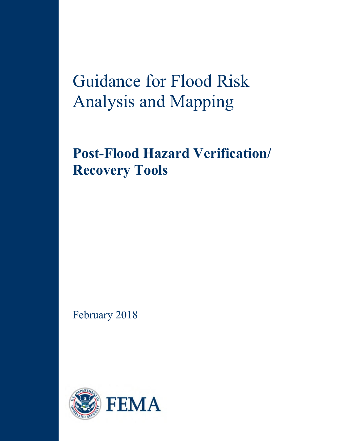# Guidance for Flood Risk Analysis and Mapping

## **Post-Flood Hazard Verification/ Recovery Tools**

February 2018

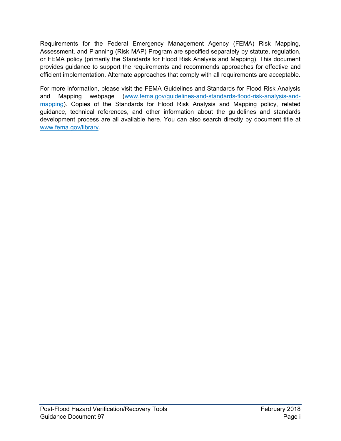Requirements for the Federal Emergency Management Agency (FEMA) Risk Mapping, Assessment, and Planning (Risk MAP) Program are specified separately by statute, regulation, or FEMA policy (primarily the Standards for Flood Risk Analysis and Mapping). This document provides guidance to support the requirements and recommends approaches for effective and efficient implementation. Alternate approaches that comply with all requirements are acceptable.

For more information, please visit the FEMA Guidelines and Standards for Flood Risk Analysis and Mapping webpage [\(www.fema.gov/guidelines-and-standards-flood-risk-analysis-and](http://www.fema.gov/guidelines-and-standards-flood-risk-analysis-and-mapping)[mapping\)](http://www.fema.gov/guidelines-and-standards-flood-risk-analysis-and-mapping). Copies of the Standards for Flood Risk Analysis and Mapping policy, related guidance, technical references, and other information about the guidelines and standards development process are all available here. You can also search directly by document title at [www.fema.gov/library.](http://www.fema.gov/library)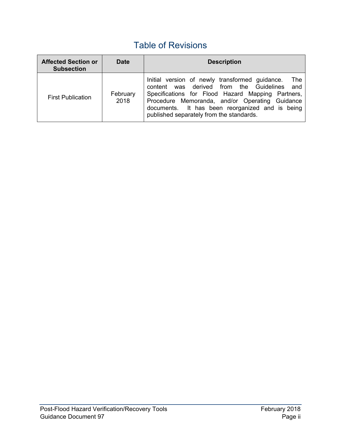## Table of Revisions

| <b>Affected Section or</b><br><b>Subsection</b> | <b>Date</b>      | <b>Description</b>                                                                                                                                                                                                                                                                                           |
|-------------------------------------------------|------------------|--------------------------------------------------------------------------------------------------------------------------------------------------------------------------------------------------------------------------------------------------------------------------------------------------------------|
| <b>First Publication</b>                        | February<br>2018 | Initial version of newly transformed guidance.<br>- The<br>content was derived from the Guidelines and<br>Specifications for Flood Hazard Mapping Partners,<br>Procedure Memoranda, and/or Operating Guidance<br>documents. It has been reorganized and is being<br>published separately from the standards. |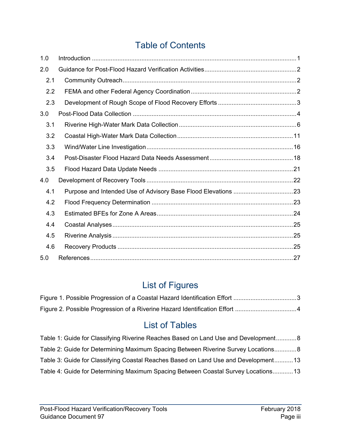## Table of Contents

| 1.0 |  |  |  |
|-----|--|--|--|
| 2.0 |  |  |  |
| 2.1 |  |  |  |
| 2.2 |  |  |  |
| 2.3 |  |  |  |
| 3.0 |  |  |  |
| 3.1 |  |  |  |
| 3.2 |  |  |  |
| 3.3 |  |  |  |
| 3.4 |  |  |  |
| 3.5 |  |  |  |
| 4.0 |  |  |  |
| 4.1 |  |  |  |
| 4.2 |  |  |  |
| 4.3 |  |  |  |
| 4.4 |  |  |  |
| 4.5 |  |  |  |
| 4.6 |  |  |  |
| 5.0 |  |  |  |

## List of Figures

## List of Tables

| Table 1: Guide for Classifying Riverine Reaches Based on Land Use and Development 8 |  |
|-------------------------------------------------------------------------------------|--|
| Table 2: Guide for Determining Maximum Spacing Between Riverine Survey Locations 8  |  |
| Table 3: Guide for Classifying Coastal Reaches Based on Land Use and Development13  |  |
| Table 4: Guide for Determining Maximum Spacing Between Coastal Survey Locations 13  |  |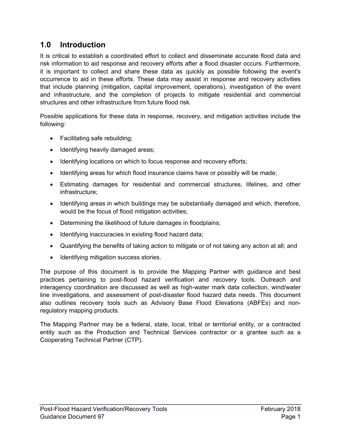#### <span id="page-4-0"></span>**1.0 Introduction**

It is critical to establish a coordinated effort to collect and disseminate accurate flood data and risk information to aid response and recovery efforts after a flood disaster occurs. Furthermore, it is important to collect and share these data as quickly as possible following the event's occurrence to aid in these efforts. These data may assist in response and recovery activities that include planning (mitigation, capital improvement, operations), investigation of the event and infrastructure, and the completion of projects to mitigate residential and commercial structures and other infrastructure from future flood risk.

Possible applications for these data in response, recovery, and mitigation activities include the following:

- Facilitating safe rebuilding;
- Identifying heavily damaged areas;
- Identifying locations on which to focus response and recovery efforts;
- Identifying areas for which flood insurance claims have or possibly will be made;
- Estimating damages for residential and commercial structures, lifelines, and other infrastructure;
- Identifying areas in which buildings may be substantially damaged and which, therefore, would be the focus of flood mitigation activities;
- Determining the likelihood of future damages in floodplains;
- Identifying inaccuracies in existing flood hazard data;
- Quantifying the benefits of taking action to mitigate or of not taking any action at all; and
- Identifying mitigation success stories.

The purpose of this document is to provide the Mapping Partner with guidance and best practices pertaining to post-flood hazard verification and recovery tools. Outreach and interagency coordination are discussed as well as high-water mark data collection, wind/water line investigations, and assessment of post-disaster flood hazard data needs. This document also outlines recovery tools such as Advisory Base Flood Elevations (ABFEs) and nonregulatory mapping products.

The Mapping Partner may be a federal, state, local, tribal or territorial entity, or a contracted entity such as the Production and Technical Services contractor or a grantee such as a Cooperating Technical Partner (CTP).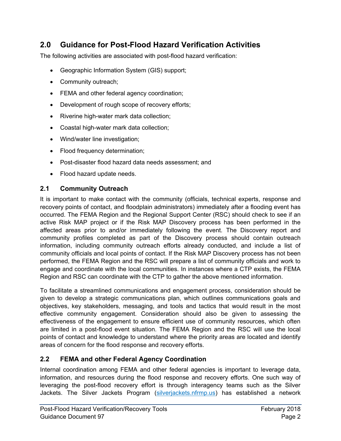#### <span id="page-5-0"></span>**2.0 Guidance for Post-Flood Hazard Verification Activities**

The following activities are associated with post-flood hazard verification:

- Geographic Information System (GIS) support;
- Community outreach;
- **FEMA and other federal agency coordination;**
- Development of rough scope of recovery efforts;
- Riverine high-water mark data collection;
- Coastal high-water mark data collection;
- Wind/water line investigation;
- Flood frequency determination;
- Post-disaster flood hazard data needs assessment; and
- Flood hazard update needs.

#### <span id="page-5-1"></span>**2.1 Community Outreach**

It is important to make contact with the community (officials, technical experts, response and recovery points of contact, and floodplain administrators) immediately after a flooding event has occurred. The FEMA Region and the Regional Support Center (RSC) should check to see if an active Risk MAP project or if the Risk MAP Discovery process has been performed in the affected areas prior to and/or immediately following the event. The Discovery report and community profiles completed as part of the Discovery process should contain outreach information, including community outreach efforts already conducted, and include a list of community officials and local points of contact. If the Risk MAP Discovery process has not been performed, the FEMA Region and the RSC will prepare a list of community officials and work to engage and coordinate with the local communities. In instances where a CTP exists, the FEMA Region and RSC can coordinate with the CTP to gather the above mentioned information.

To facilitate a streamlined communications and engagement process, consideration should be given to develop a strategic communications plan, which outlines communications goals and objectives, key stakeholders, messaging, and tools and tactics that would result in the most effective community engagement. Consideration should also be given to assessing the effectiveness of the engagement to ensure efficient use of community resources, which often are limited in a post-flood event situation. The FEMA Region and the RSC will use the local points of contact and knowledge to understand where the priority areas are located and identify areas of concern for the flood response and recovery efforts.

#### <span id="page-5-2"></span>**2.2 FEMA and other Federal Agency Coordination**

Internal coordination among FEMA and other federal agencies is important to leverage data, information, and resources during the flood response and recovery efforts. One such way of leveraging the post-flood recovery effort is through interagency teams such as the Silver Jackets. The Silver Jackets Program [\(silverjackets.nfrmp.us\)](http://silverjackets.nfrmp.us/) has established a network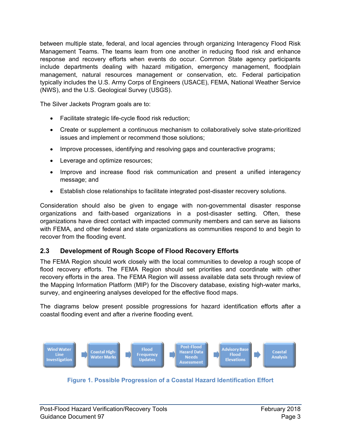between multiple state, federal, and local agencies through organizing Interagency Flood Risk Management Teams. The teams learn from one another in reducing flood risk and enhance response and recovery efforts when events do occur. Common State agency participants include departments dealing with hazard mitigation, emergency management, floodplain management, natural resources management or conservation, etc. Federal participation typically includes the U.S. Army Corps of Engineers (USACE), FEMA, National Weather Service (NWS), and the U.S. Geological Survey (USGS).

The Silver Jackets Program goals are to:

- Facilitate strategic life-cycle flood risk reduction;
- Create or supplement a continuous mechanism to collaboratively solve state-prioritized issues and implement or recommend those solutions;
- Improve processes, identifying and resolving gaps and counteractive programs;
- Leverage and optimize resources;
- Improve and increase flood risk communication and present a unified interagency message; and
- Establish close relationships to facilitate integrated post-disaster recovery solutions.

Consideration should also be given to engage with non-governmental disaster response organizations and faith-based organizations in a post-disaster setting. Often, these organizations have direct contact with impacted community members and can serve as liaisons with FEMA, and other federal and state organizations as communities respond to and begin to recover from the flooding event.

#### <span id="page-6-0"></span>**2.3 Development of Rough Scope of Flood Recovery Efforts**

The FEMA Region should work closely with the local communities to develop a rough scope of flood recovery efforts. The FEMA Region should set priorities and coordinate with other recovery efforts in the area. The FEMA Region will assess available data sets through review of the Mapping Information Platform (MIP) for the Discovery database, existing high-water marks, survey, and engineering analyses developed for the effective flood maps.

The diagrams below present possible progressions for hazard identification efforts after a coastal flooding event and after a riverine flooding event.



<span id="page-6-1"></span>**Figure 1. Possible Progression of a Coastal Hazard Identification Effort**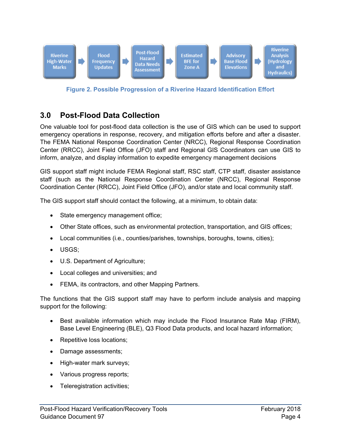

**Figure 2. Possible Progression of a Riverine Hazard Identification Effort** 

#### <span id="page-7-1"></span><span id="page-7-0"></span>**3.0 Post-Flood Data Collection**

One valuable tool for post-flood data collection is the use of GIS which can be used to support emergency operations in response, recovery, and mitigation efforts before and after a disaster. The FEMA National Response Coordination Center (NRCC), Regional Response Coordination Center (RRCC), Joint Field Office (JFO) staff and Regional GIS Coordinators can use GIS to inform, analyze, and display information to expedite emergency management decisions

GIS support staff might include FEMA Regional staff, RSC staff, CTP staff, disaster assistance staff (such as the National Response Coordination Center (NRCC), Regional Response Coordination Center (RRCC), Joint Field Office (JFO), and/or state and local community staff.

The GIS support staff should contact the following, at a minimum, to obtain data:

- State emergency management office;
- Other State offices, such as environmental protection, transportation, and GIS offices;
- Local communities (i.e., counties/parishes, townships, boroughs, towns, cities);
- USGS;
- U.S. Department of Agriculture;
- Local colleges and universities; and
- FEMA, its contractors, and other Mapping Partners.

The functions that the GIS support staff may have to perform include analysis and mapping support for the following:

- Best available information which may include the Flood Insurance Rate Map (FIRM), Base Level Engineering (BLE), Q3 Flood Data products, and local hazard information;
- Repetitive loss locations;
- Damage assessments;
- High-water mark surveys;
- Various progress reports;
- Teleregistration activities;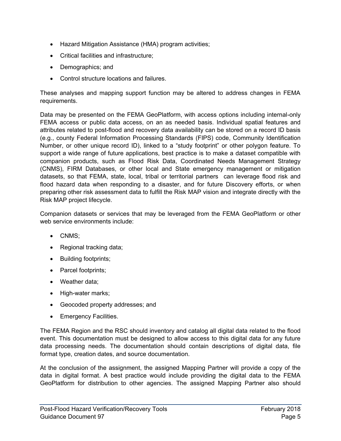- Hazard Mitigation Assistance (HMA) program activities;
- Critical facilities and infrastructure;
- Demographics; and
- Control structure locations and failures.

These analyses and mapping support function may be altered to address changes in FEMA requirements.

Data may be presented on the FEMA GeoPlatform, with access options including internal-only FEMA access or public data access, on an as needed basis. Individual spatial features and attributes related to post-flood and recovery data availability can be stored on a record ID basis (e.g., county Federal Information Processing Standards (FIPS) code, Community Identification Number, or other unique record ID), linked to a "study footprint" or other polygon feature. To support a wide range of future applications, best practice is to make a dataset compatible with companion products, such as Flood Risk Data, Coordinated Needs Management Strategy (CNMS), FIRM Databases, or other local and State emergency management or mitigation datasets, so that FEMA, state, local, tribal or territorial partners can leverage flood risk and flood hazard data when responding to a disaster, and for future Discovery efforts, or when preparing other risk assessment data to fulfill the Risk MAP vision and integrate directly with the Risk MAP project lifecycle.

Companion datasets or services that may be leveraged from the FEMA GeoPlatform or other web service environments include:

- CNMS;
- Regional tracking data;
- Building footprints;
- Parcel footprints;
- Weather data:
- High-water marks;
- Geocoded property addresses; and
- Emergency Facilities.

The FEMA Region and the RSC should inventory and catalog all digital data related to the flood event. This documentation must be designed to allow access to this digital data for any future data processing needs. The documentation should contain descriptions of digital data, file format type, creation dates, and source documentation.

At the conclusion of the assignment, the assigned Mapping Partner will provide a copy of the data in digital format. A best practice would include providing the digital data to the FEMA GeoPlatform for distribution to other agencies. The assigned Mapping Partner also should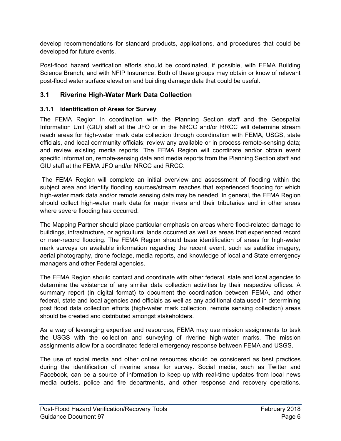develop recommendations for standard products, applications, and procedures that could be developed for future events.

Post-flood hazard verification efforts should be coordinated, if possible, with FEMA Building Science Branch, and with NFIP Insurance. Both of these groups may obtain or know of relevant post-flood water surface elevation and building damage data that could be useful.

#### <span id="page-9-0"></span>**3.1 Riverine High-Water Mark Data Collection**

#### **3.1.1 Identification of Areas for Survey**

The FEMA Region in coordination with the Planning Section staff and the Geospatial Information Unit (GIU) staff at the JFO or in the NRCC and/or RRCC will determine stream reach areas for high-water mark data collection through coordination with FEMA, USGS, state officials, and local community officials; review any available or in process remote-sensing data; and review existing media reports. The FEMA Region will coordinate and/or obtain event specific information, remote-sensing data and media reports from the Planning Section staff and GIU staff at the FEMA JFO and/or NRCC and RRCC.

The FEMA Region will complete an initial overview and assessment of flooding within the subject area and identify flooding sources/stream reaches that experienced flooding for which high-water mark data and/or remote sensing data may be needed. In general, the FEMA Region should collect high-water mark data for major rivers and their tributaries and in other areas where severe flooding has occurred.

The Mapping Partner should place particular emphasis on areas where flood-related damage to buildings, infrastructure, or agricultural lands occurred as well as areas that experienced record or near-record flooding. The FEMA Region should base identification of areas for high-water mark surveys on available information regarding the recent event, such as satellite imagery, aerial photography, drone footage, media reports, and knowledge of local and State emergency managers and other Federal agencies.

The FEMA Region should contact and coordinate with other federal, state and local agencies to determine the existence of any similar data collection activities by their respective offices. A summary report (in digital format) to document the coordination between FEMA, and other federal, state and local agencies and officials as well as any additional data used in determining post flood data collection efforts (high-water mark collection, remote sensing collection) areas should be created and distributed amongst stakeholders.

As a way of leveraging expertise and resources, FEMA may use mission assignments to task the USGS with the collection and surveying of riverine high-water marks. The mission assignments allow for a coordinated federal emergency response between FEMA and USGS.

The use of social media and other online resources should be considered as best practices during the identification of riverine areas for survey. Social media, such as Twitter and Facebook, can be a source of information to keep up with real-time updates from local news media outlets, police and fire departments, and other response and recovery operations.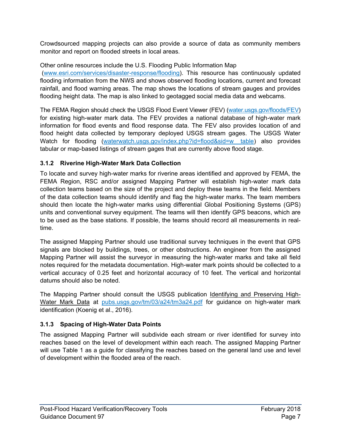Crowdsourced mapping projects can also provide a source of data as community members monitor and report on flooded streets in local areas.

Other online resources include the U.S. Flooding Public Information Map

 [\(www.esri.com/services/disaster-response/flooding\)](http://www.esri.com/services/disaster-response/flooding). This resource has continuously updated flooding information from the NWS and shows observed flooding locations, current and forecast rainfall, and flood warning areas. The map shows the locations of stream gauges and provides flooding height data. The map is also linked to geotagged social media data and webcams.

The FEMA Region should check the USGS Flood Event Viewer (FEV) [\(water.usgs.gov/floods/FEV\)](http://water.usgs.gov/floods/FEV) for existing high-water mark data. The FEV provides a national database of high-water mark information for flood events and flood response data. The FEV also provides location of and flood height data collected by temporary deployed USGS stream gages. The USGS Water Watch for flooding (waterwatch.usgs.gov/index.php?id=flood&sid=w\_table) also provides tabular or map-based listings of stream gages that are currently above flood stage.

#### **3.1.2 Riverine High-Water Mark Data Collection**

To locate and survey high-water marks for riverine areas identified and approved by FEMA, the FEMA Region, RSC and/or assigned Mapping Partner will establish high-water mark data collection teams based on the size of the project and deploy these teams in the field. Members of the data collection teams should identify and flag the high-water marks. The team members should then locate the high-water marks using differential Global Positioning Systems (GPS) units and conventional survey equipment. The teams will then identify GPS beacons, which are to be used as the base stations. If possible, the teams should record all measurements in realtime.

The assigned Mapping Partner should use traditional survey techniques in the event that GPS signals are blocked by buildings, trees, or other obstructions. An engineer from the assigned Mapping Partner will assist the surveyor in measuring the high-water marks and take all field notes required for the metadata documentation. High-water mark points should be collected to a vertical accuracy of 0.25 feet and horizontal accuracy of 10 feet. The vertical and horizontal datums should also be noted.

The Mapping Partner should consult the USGS publication Identifying and Preserving HighWater Mark Data at [pubs.usgs.gov/tm/03/a24/tm3a24.pdf](https://pubs.usgs.gov/tm/03/a24/tm3a24.pdf) for guidance on high-water mark identification (Koenig et al., 2016).

#### **3.1.3 Spacing of High-Water Data Points**

The assigned Mapping Partner will subdivide each stream or river identified for survey into reaches based on the level of development within each reach. The assigned Mapping Partner will use [Table 1](#page-11-0) as a guide for classifying the reaches based on the general land use and level of development within the flooded area of the reach.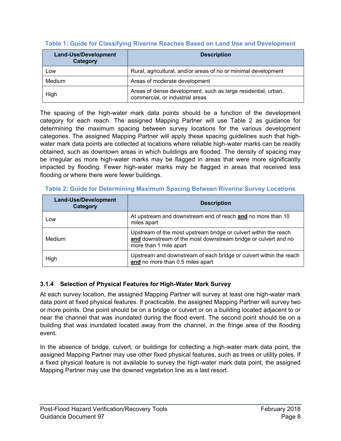| <b>Land-Use/Development</b><br>Category | <b>Description</b>                                                                               |
|-----------------------------------------|--------------------------------------------------------------------------------------------------|
| Low                                     | Rural, agricultural, and/or areas of no or minimal development                                   |
| Medium                                  | Areas of moderate development                                                                    |
| High                                    | Areas of dense development, such as large residential, urban,<br>commercial, or industrial areas |

#### <span id="page-11-0"></span>**Table 1: Guide for Classifying Riverine Reaches Based on Land Use and Development**

The spacing of the high-water mark data points should be a function of the development category for each reach. The assigned Mapping Partner will use [Table 2](#page-11-1) as guidance for determining the maximum spacing between survey locations for the various development categories. The assigned Mapping Partner will apply these spacing guidelines such that highwater mark data points are collected at locations where reliable high-water marks can be readily obtained, such as downtown areas in which buildings are flooded. The density of spacing may be irregular as more high-water marks may be flagged in areas that were more significantly impacted by flooding. Fewer high-water marks may be flagged in areas that received less flooding or where there were fewer buildings.

| <b>Land-Use/Development</b><br>Category | <b>Description</b>                                                                                                                                           |
|-----------------------------------------|--------------------------------------------------------------------------------------------------------------------------------------------------------------|
| Low                                     | At upstream and downstream end of reach and no more than 10<br>miles apart                                                                                   |
| Medium                                  | Upstream of the most upstream bridge or culvert within the reach<br>and downstream of the most downstream bridge or culvert and no<br>more than 1 mile apart |
| High                                    | Upstream and downstream of each bridge or culvert within the reach<br>and no more than 0.5 miles apart                                                       |

#### <span id="page-11-1"></span>**Table 2: Guide for Determining Maximum Spacing Between Riverine Survey Locations**

#### **3.1.4 Selection of Physical Features for High-Water Mark Survey**

At each survey location, the assigned Mapping Partner will survey at least one high-water mark data point at fixed physical features. If practicable, the assigned Mapping Partner will survey two or more points. One point should be on a bridge or culvert or on a building located adjacent to or near the channel that was inundated during the flood event. The second point should be on a building that was inundated located away from the channel, in the fringe area of the flooding event.

In the absence of bridge, culvert, or buildings for collecting a high-water mark data point, the assigned Mapping Partner may use other fixed physical features, such as trees or utility poles. If a fixed physical feature is not available to survey the high-water mark data point, the assigned Mapping Partner may use the downed vegetation line as a last resort.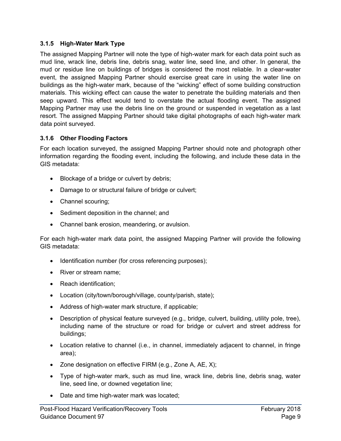#### **3.1.5 High-Water Mark Type**

The assigned Mapping Partner will note the type of high-water mark for each data point such as mud line, wrack line, debris line, debris snag, water line, seed line, and other. In general, the mud or residue line on buildings of bridges is considered the most reliable. In a clear-water event, the assigned Mapping Partner should exercise great care in using the water line on buildings as the high-water mark, because of the "wicking" effect of some building construction materials. This wicking effect can cause the water to penetrate the building materials and then seep upward. This effect would tend to overstate the actual flooding event. The assigned Mapping Partner may use the debris line on the ground or suspended in vegetation as a last resort. The assigned Mapping Partner should take digital photographs of each high-water mark data point surveyed.

#### **3.1.6 Other Flooding Factors**

For each location surveyed, the assigned Mapping Partner should note and photograph other information regarding the flooding event, including the following, and include these data in the GIS metadata:

- Blockage of a bridge or culvert by debris;
- Damage to or structural failure of bridge or culvert;
- Channel scouring;
- Sediment deposition in the channel; and
- Channel bank erosion, meandering, or avulsion.

For each high-water mark data point, the assigned Mapping Partner will provide the following GIS metadata:

- Identification number (for cross referencing purposes);
- River or stream name:
- Reach identification;
- Location (city/town/borough/village, county/parish, state);
- Address of high-water mark structure, if applicable;
- Description of physical feature surveyed (e.g., bridge, culvert, building, utility pole, tree), including name of the structure or road for bridge or culvert and street address for buildings;
- Location relative to channel (i.e., in channel, immediately adjacent to channel, in fringe area);
- Zone designation on effective FIRM (e.g., Zone A, AE, X);
- Type of high-water mark, such as mud line, wrack line, debris line, debris snag, water line, seed line, or downed vegetation line;
- Date and time high-water mark was located;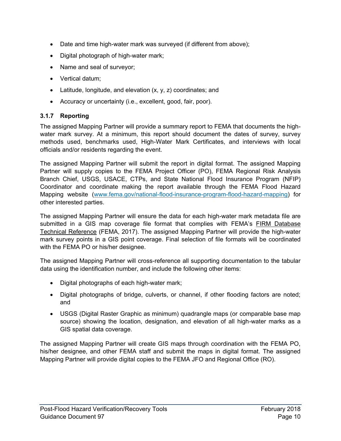- Date and time high-water mark was surveyed (if different from above);
- Digital photograph of high-water mark;
- Name and seal of surveyor;
- Vertical datum;
- **Latitude, longitude, and elevation**  $(x, y, z)$  **coordinates; and**
- Accuracy or uncertainty (i.e., excellent, good, fair, poor).

#### **3.1.7 Reporting**

The assigned Mapping Partner will provide a summary report to FEMA that documents the highwater mark survey. At a minimum, this report should document the dates of survey, survey methods used, benchmarks used, High-Water Mark Certificates, and interviews with local officials and/or residents regarding the event.

The assigned Mapping Partner will submit the report in digital format. The assigned Mapping Partner will supply copies to the FEMA Project Officer (PO), FEMA Regional Risk Analysis Branch Chief, USGS, USACE, CTPs, and State National Flood Insurance Program (NFIP) Coordinator and coordinate making the report available through the FEMA Flood Hazard Mapping website [\(www.fema.gov/national-flood-insurance-program-flood-hazard-mapping\)](https://www.fema.gov/national-flood-insurance-program-flood-hazard-mapping) for other interested parties.

The assigned Mapping Partner will ensure the data for each high-water mark metadata file are submitted in a GIS map coverage file format that complies with FEMA's FIRM Database Technical Reference (FEMA, 2017). The assigned Mapping Partner will provide the high-water mark survey points in a GIS point coverage. Final selection of file formats will be coordinated with the FEMA PO or his/her designee.

The assigned Mapping Partner will cross-reference all supporting documentation to the tabular data using the identification number, and include the following other items:

- Digital photographs of each high-water mark;
- Digital photographs of bridge, culverts, or channel, if other flooding factors are noted; and
- USGS (Digital Raster Graphic as minimum) quadrangle maps (or comparable base map source) showing the location, designation, and elevation of all high-water marks as a GIS spatial data coverage.

The assigned Mapping Partner will create GIS maps through coordination with the FEMA PO, his/her designee, and other FEMA staff and submit the maps in digital format. The assigned Mapping Partner will provide digital copies to the FEMA JFO and Regional Office (RO).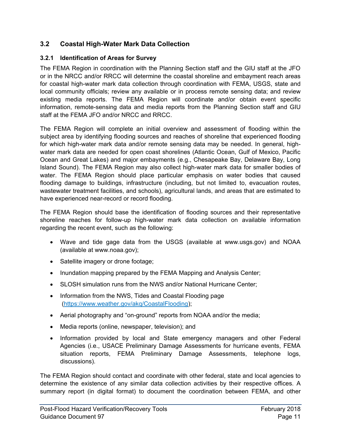#### <span id="page-14-0"></span>**3.2 Coastal High-Water Mark Data Collection**

#### **3.2.1 Identification of Areas for Survey**

The FEMA Region in coordination with the Planning Section staff and the GIU staff at the JFO or in the NRCC and/or RRCC will determine the coastal shoreline and embayment reach areas for coastal high-water mark data collection through coordination with FEMA, USGS, state and local community officials; review any available or in process remote sensing data; and review existing media reports. The FEMA Region will coordinate and/or obtain event specific information, remote-sensing data and media reports from the Planning Section staff and GIU staff at the FEMA JFO and/or NRCC and RRCC.

The FEMA Region will complete an initial overview and assessment of flooding within the subject area by identifying flooding sources and reaches of shoreline that experienced flooding for which high-water mark data and/or remote sensing data may be needed. In general, highwater mark data are needed for open coast shorelines (Atlantic Ocean, Gulf of Mexico, Pacific Ocean and Great Lakes) and major embayments (e.g., Chesapeake Bay, Delaware Bay, Long Island Sound). The FEMA Region may also collect high-water mark data for smaller bodies of water. The FEMA Region should place particular emphasis on water bodies that caused flooding damage to buildings, infrastructure (including, but not limited to, evacuation routes, wastewater treatment facilities, and schools), agricultural lands, and areas that are estimated to have experienced near-record or record flooding.

The FEMA Region should base the identification of flooding sources and their representative shoreline reaches for follow-up high-water mark data collection on available information regarding the recent event, such as the following:

- Wave and tide gage data from the USGS (available at www.usgs.gov) and NOAA (available at www.noaa.gov);
- Satellite imagery or drone footage;
- Inundation mapping prepared by the FEMA Mapping and Analysis Center;
- SLOSH simulation runs from the NWS and/or National Hurricane Center;
- Information from the NWS, Tides and Coastal Flooding page [\(https://www.weather.gov/akq/CoastalFlooding\)](https://www.weather.gov/akq/CoastalFlooding);
- Aerial photography and "on-ground" reports from NOAA and/or the media;
- Media reports (online, newspaper, television); and
- Information provided by local and State emergency managers and other Federal Agencies (i.e., USACE Preliminary Damage Assessments for hurricane events, FEMA situation reports, FEMA Preliminary Damage Assessments, telephone logs, discussions).

The FEMA Region should contact and coordinate with other federal, state and local agencies to determine the existence of any similar data collection activities by their respective offices. A summary report (in digital format) to document the coordination between FEMA, and other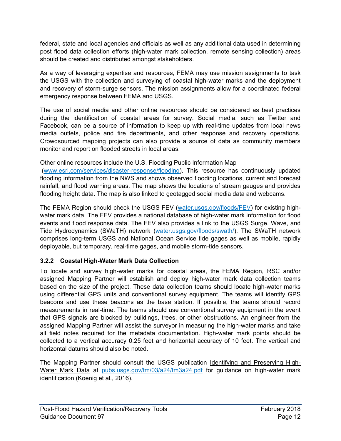federal, state and local agencies and officials as well as any additional data used in determining post flood data collection efforts (high-water mark collection, remote sensing collection) areas should be created and distributed amongst stakeholders.

As a way of leveraging expertise and resources, FEMA may use mission assignments to task the USGS with the collection and surveying of coastal high-water marks and the deployment and recovery of storm-surge sensors. The mission assignments allow for a coordinated federal emergency response between FEMA and USGS.

The use of social media and other online resources should be considered as best practices during the identification of coastal areas for survey. Social media, such as Twitter and Facebook, can be a source of information to keep up with real-time updates from local news media outlets, police and fire departments, and other response and recovery operations. Crowdsourced mapping projects can also provide a source of data as community members monitor and report on flooded streets in local areas.

#### Other online resources include the U.S. Flooding Public Information Map

 [\(www.esri.com/services/disaster-response/flooding\)](http://www.esri.com/services/disaster-response/flooding). This resource has continuously updated flooding information from the NWS and shows observed flooding locations, current and forecast rainfall, and flood warning areas. The map shows the locations of stream gauges and provides flooding height data. The map is also linked to geotagged social media data and webcams.

The FEMA Region should check the USGS FEV [\(water.usgs.gov/floods/FEV\)](http://water.usgs.gov/floods/FEV) for existing highwater mark data. The FEV provides a national database of high-water mark information for flood events and flood response data. The FEV also provides a link to the USGS Surge. Wave, and Tide Hydrodynamics (SWaTH) network [\(water.usgs.gov/floods/swath/\)](http://water.usgs.gov/floods/swath/). The SWaTH network comprises long-term USGS and National Ocean Service tide gages as well as mobile, rapidly deployable, but temporary, real-time gages, and mobile storm-tide sensors.

#### **3.2.2 Coastal High-Water Mark Data Collection**

To locate and survey high-water marks for coastal areas, the FEMA Region, RSC and/or assigned Mapping Partner will establish and deploy high-water mark data collection teams based on the size of the project. These data collection teams should locate high-water marks using differential GPS units and conventional survey equipment. The teams will identify GPS beacons and use these beacons as the base station. If possible, the teams should record measurements in real-time. The teams should use conventional survey equipment in the event that GPS signals are blocked by buildings, trees, or other obstructions. An engineer from the assigned Mapping Partner will assist the surveyor in measuring the high-water marks and take all field notes required for the metadata documentation. High-water mark points should be collected to a vertical accuracy 0.25 feet and horizontal accuracy of 10 feet. The vertical and horizontal datums should also be noted.

The Mapping Partner should consult the USGS publication Identifying and Preserving HighWater Mark Data at [pubs.usgs.gov/tm/03/a24/tm3a24.pdf](https://pubs.usgs.gov/tm/03/a24/tm3a24.pdf) for guidance on high-water mark identification (Koenig et al., 2016).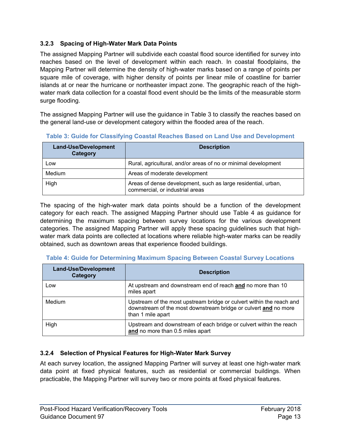#### **3.2.3 Spacing of High-Water Mark Data Points**

The assigned Mapping Partner will subdivide each coastal flood source identified for survey into reaches based on the level of development within each reach. In coastal floodplains, the Mapping Partner will determine the density of high-water marks based on a range of points per square mile of coverage, with higher density of points per linear mile of coastline for barrier islands at or near the hurricane or northeaster impact zone. The geographic reach of the highwater mark data collection for a coastal flood event should be the limits of the measurable storm surge flooding.

The assigned Mapping Partner will use the guidance in [Table 3](#page-16-0) to classify the reaches based on the general land-use or development category within the flooded area of the reach.

| <b>Land-Use/Development</b><br>Category | <b>Description</b>                                                                               |
|-----------------------------------------|--------------------------------------------------------------------------------------------------|
| Low                                     | Rural, agricultural, and/or areas of no or minimal development                                   |
| Medium                                  | Areas of moderate development                                                                    |
| High                                    | Areas of dense development, such as large residential, urban,<br>commercial, or industrial areas |

<span id="page-16-0"></span>**Table 3: Guide for Classifying Coastal Reaches Based on Land Use and Development** 

The spacing of the high-water mark data points should be a function of the development category for each reach. The assigned Mapping Partner should use [Table 4](#page-16-1) as guidance for determining the maximum spacing between survey locations for the various development categories. The assigned Mapping Partner will apply these spacing guidelines such that highwater mark data points are collected at locations where reliable high-water marks can be readily obtained, such as downtown areas that experience flooded buildings.

| <b>Land-Use/Development</b><br>Category | <b>Description</b>                                                                                                                                           |
|-----------------------------------------|--------------------------------------------------------------------------------------------------------------------------------------------------------------|
| Low                                     | At upstream and downstream end of reach and no more than 10<br>miles apart                                                                                   |
| <b>Medium</b>                           | Upstream of the most upstream bridge or culvert within the reach and<br>downstream of the most downstream bridge or culvert and no more<br>than 1 mile apart |
| High                                    | Upstream and downstream of each bridge or culvert within the reach<br>and no more than 0.5 miles apart                                                       |

<span id="page-16-1"></span>**Table 4: Guide for Determining Maximum Spacing Between Coastal Survey Locations** 

#### **3.2.4 Selection of Physical Features for High-Water Mark Survey**

At each survey location, the assigned Mapping Partner will survey at least one high-water mark data point at fixed physical features, such as residential or commercial buildings. When practicable, the Mapping Partner will survey two or more points at fixed physical features.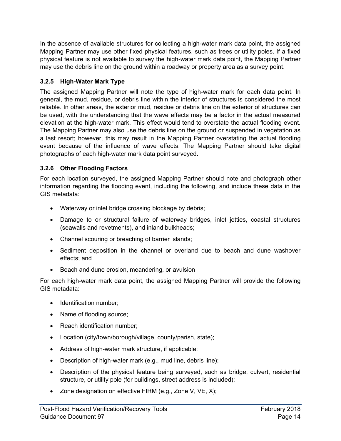In the absence of available structures for collecting a high-water mark data point, the assigned Mapping Partner may use other fixed physical features, such as trees or utility poles. If a fixed physical feature is not available to survey the high-water mark data point, the Mapping Partner may use the debris line on the ground within a roadway or property area as a survey point.

#### **3.2.5 High-Water Mark Type**

The assigned Mapping Partner will note the type of high-water mark for each data point. In general, the mud, residue, or debris line within the interior of structures is considered the most reliable. In other areas, the exterior mud, residue or debris line on the exterior of structures can be used, with the understanding that the wave effects may be a factor in the actual measured elevation at the high-water mark. This effect would tend to overstate the actual flooding event. The Mapping Partner may also use the debris line on the ground or suspended in vegetation as a last resort; however, this may result in the Mapping Partner overstating the actual flooding event because of the influence of wave effects. The Mapping Partner should take digital photographs of each high-water mark data point surveyed.

#### **3.2.6 Other Flooding Factors**

For each location surveyed, the assigned Mapping Partner should note and photograph other information regarding the flooding event, including the following, and include these data in the GIS metadata:

- Waterway or inlet bridge crossing blockage by debris;
- Damage to or structural failure of waterway bridges, inlet jetties, coastal structures (seawalls and revetments), and inland bulkheads;
- Channel scouring or breaching of barrier islands;
- Sediment deposition in the channel or overland due to beach and dune washover effects; and
- Beach and dune erosion, meandering, or avulsion

For each high-water mark data point, the assigned Mapping Partner will provide the following GIS metadata:

- Identification number:
- Name of flooding source;
- Reach identification number;
- Location (city/town/borough/village, county/parish, state);
- Address of high-water mark structure, if applicable;
- Description of high-water mark (e.g., mud line, debris line);
- Description of the physical feature being surveyed, such as bridge, culvert, residential structure, or utility pole (for buildings, street address is included);
- Zone designation on effective FIRM (e.g., Zone V, VE, X);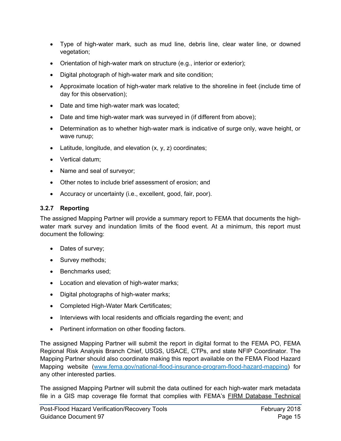- Type of high-water mark, such as mud line, debris line, clear water line, or downed vegetation;
- Orientation of high-water mark on structure (e.g., interior or exterior);
- Digital photograph of high-water mark and site condition;
- Approximate location of high-water mark relative to the shoreline in feet (include time of day for this observation);
- Date and time high-water mark was located;
- Date and time high-water mark was surveyed in (if different from above);
- Determination as to whether high-water mark is indicative of surge only, wave height, or wave runup;
- **•** Latitude, longitude, and elevation  $(x, y, z)$  coordinates;
- Vertical datum;
- Name and seal of surveyor;
- Other notes to include brief assessment of erosion; and
- Accuracy or uncertainty (i.e., excellent, good, fair, poor).

#### **3.2.7 Reporting**

The assigned Mapping Partner will provide a summary report to FEMA that documents the highwater mark survey and inundation limits of the flood event. At a minimum, this report must document the following:

- Dates of survey;
- Survey methods;
- Benchmarks used;
- Location and elevation of high-water marks;
- Digital photographs of high-water marks;
- Completed High-Water Mark Certificates;
- Interviews with local residents and officials regarding the event; and
- Pertinent information on other flooding factors.

The assigned Mapping Partner will submit the report in digital format to the FEMA PO, FEMA Regional Risk Analysis Branch Chief, USGS, USACE, CTPs, and state NFIP Coordinator. The Mapping Partner should also coordinate making this report available on the FEMA Flood Hazard Mapping website [\(www.fema.gov/national-flood-insurance-program-flood-hazard-mapping\)](https://www.fema.gov/national-flood-insurance-program-flood-hazard-mapping) for any other interested parties.

The assigned Mapping Partner will submit the data outlined for each high-water mark metadata file in a GIS map coverage file format that complies with FEMA's FIRM Database Technical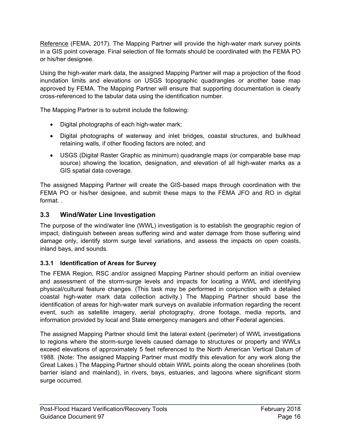Reference (FEMA, 2017). The Mapping Partner will provide the high-water mark survey points in a GIS point coverage. Final selection of file formats should be coordinated with the FEMA PO or his/her designee.

Using the high-water mark data, the assigned Mapping Partner will map a projection of the flood inundation limits and elevations on USGS topographic quadrangles or another base map approved by FEMA. The Mapping Partner will ensure that supporting documentation is clearly cross-referenced to the tabular data using the identification number.

The Mapping Partner is to submit include the following:

- Digital photographs of each high-water mark;
- Digital photographs of waterway and inlet bridges, coastal structures, and bulkhead retaining walls, if other flooding factors are noted; and
- USGS (Digital Raster Graphic as minimum) quadrangle maps (or comparable base map source) showing the location, designation, and elevation of all high-water marks as a GIS spatial data coverage.

The assigned Mapping Partner will create the GIS-based maps through coordination with the FEMA PO or his/her designee, and submit these maps to the FEMA JFO and RO in digital format

#### <span id="page-19-0"></span>**3.3 Wind/Water Line Investigation**

The purpose of the wind/water line (WWL) investigation is to establish the geographic region of impact, distinguish between areas suffering wind and water damage from those suffering wind damage only, identify storm surge level variations, and assess the impacts on open coasts, inland bays, and sounds.

#### **3.3.1 Identification of Areas for Survey**

The FEMA Region, RSC and/or assigned Mapping Partner should perform an initial overview and assessment of the storm-surge levels and impacts for locating a WWL and identifying physical/cultural feature changes. (This task may be performed in conjunction with a detailed coastal high-water mark data collection activity.) The Mapping Partner should base the identification of areas for high-water mark surveys on available information regarding the recent event, such as satellite imagery, aerial photography, drone footage, media reports, and information provided by local and State emergency managers and other Federal agencies.

The assigned Mapping Partner should limit the lateral extent (perimeter) of WWL investigations to regions where the storm-surge levels caused damage to structures or property and WWLs exceed elevations of approximately 5 feet referenced to the North American Vertical Datum of 1988. (Note: The assigned Mapping Partner must modify this elevation for any work along the Great Lakes.) The Mapping Partner should obtain WWL points along the ocean shorelines (both barrier island and mainland), in rivers, bays, estuaries, and lagoons where significant storm surge occurred.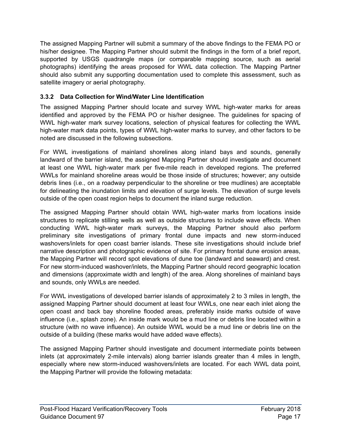The assigned Mapping Partner will submit a summary of the above findings to the FEMA PO or his/her designee. The Mapping Partner should submit the findings in the form of a brief report, supported by USGS quadrangle maps (or comparable mapping source, such as aerial photographs) identifying the areas proposed for WWL data collection. The Mapping Partner should also submit any supporting documentation used to complete this assessment, such as satellite imagery or aerial photography.

#### **3.3.2 Data Collection for Wind/Water Line Identification**

The assigned Mapping Partner should locate and survey WWL high-water marks for areas identified and approved by the FEMA PO or his/her designee. The guidelines for spacing of WWL high-water mark survey locations, selection of physical features for collecting the WWL high-water mark data points, types of WWL high-water marks to survey, and other factors to be noted are discussed in the following subsections.

For WWL investigations of mainland shorelines along inland bays and sounds, generally landward of the barrier island, the assigned Mapping Partner should investigate and document at least one WWL high-water mark per five-mile reach in developed regions. The preferred WWLs for mainland shoreline areas would be those inside of structures; however; any outside debris lines (i.e., on a roadway perpendicular to the shoreline or tree mudlines) are acceptable for delineating the inundation limits and elevation of surge levels. The elevation of surge levels outside of the open coast region helps to document the inland surge reduction.

The assigned Mapping Partner should obtain WWL high-water marks from locations inside structures to replicate stilling wells as well as outside structures to include wave effects. When conducting WWL high-water mark surveys, the Mapping Partner should also perform preliminary site investigations of primary frontal dune impacts and new storm-induced washovers/inlets for open coast barrier islands. These site investigations should include brief narrative description and photographic evidence of site. For primary frontal dune erosion areas, the Mapping Partner will record spot elevations of dune toe (landward and seaward) and crest. For new storm-induced washover/inlets, the Mapping Partner should record geographic location and dimensions (approximate width and length) of the area. Along shorelines of mainland bays and sounds, only WWLs are needed.

For WWL investigations of developed barrier islands of approximately 2 to 3 miles in length, the assigned Mapping Partner should document at least four WWLs, one near each inlet along the open coast and back bay shoreline flooded areas, preferably inside marks outside of wave influence (i.e., splash zone). An inside mark would be a mud line or debris line located within a structure (with no wave influence). An outside WWL would be a mud line or debris line on the outside of a building (these marks would have added wave effects).

The assigned Mapping Partner should investigate and document intermediate points between inlets (at approximately 2-mile intervals) along barrier islands greater than 4 miles in length, especially where new storm-induced washovers/inlets are located. For each WWL data point, the Mapping Partner will provide the following metadata: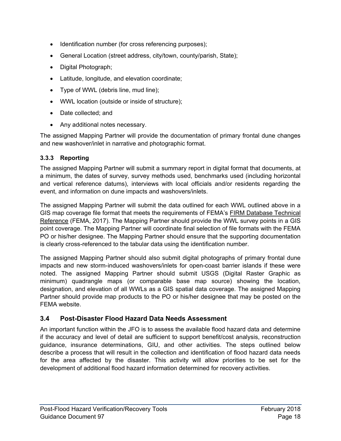- Identification number (for cross referencing purposes);
- General Location (street address, city/town, county/parish, State);
- Digital Photograph;
- Latitude, longitude, and elevation coordinate;
- Type of WWL (debris line, mud line);
- WWL location (outside or inside of structure);
- Date collected; and
- Any additional notes necessary.

The assigned Mapping Partner will provide the documentation of primary frontal dune changes and new washover/inlet in narrative and photographic format.

#### **3.3.3 Reporting**

The assigned Mapping Partner will submit a summary report in digital format that documents, at a minimum, the dates of survey, survey methods used, benchmarks used (including horizontal and vertical reference datums), interviews with local officials and/or residents regarding the event, and information on dune impacts and washovers/inlets.

The assigned Mapping Partner will submit the data outlined for each WWL outlined above in a GIS map coverage file format that meets the requirements of FEMA's FIRM Database Technical Reference (FEMA, 2017). The Mapping Partner should provide the WWL survey points in a GIS point coverage. The Mapping Partner will coordinate final selection of file formats with the FEMA PO or his/her designee. The Mapping Partner should ensure that the supporting documentation is clearly cross-referenced to the tabular data using the identification number.

The assigned Mapping Partner should also submit digital photographs of primary frontal dune impacts and new storm-induced washovers/inlets for open-coast barrier islands if these were noted. The assigned Mapping Partner should submit USGS (Digital Raster Graphic as minimum) quadrangle maps (or comparable base map source) showing the location, designation, and elevation of all WWLs as a GIS spatial data coverage. The assigned Mapping Partner should provide map products to the PO or his/her designee that may be posted on the FEMA website.

#### <span id="page-21-0"></span>**3.4 Post-Disaster Flood Hazard Data Needs Assessment**

An important function within the JFO is to assess the available flood hazard data and determine if the accuracy and level of detail are sufficient to support benefit/cost analysis, reconstruction guidance, insurance determinations, GIU, and other activities. The steps outlined below describe a process that will result in the collection and identification of flood hazard data needs for the area affected by the disaster. This activity will allow priorities to be set for the development of additional flood hazard information determined for recovery activities.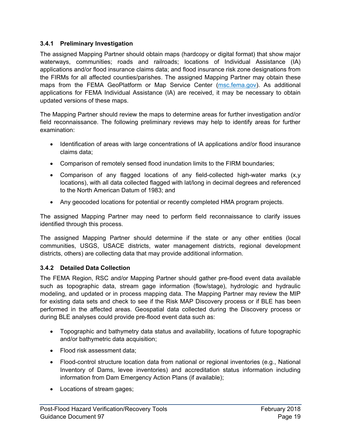#### **3.4.1 Preliminary Investigation**

The assigned Mapping Partner should obtain maps (hardcopy or digital format) that show major waterways, communities; roads and railroads; locations of Individual Assistance (IA) applications and/or flood insurance claims data; and flood insurance risk zone designations from the FIRMs for all affected counties/parishes. The assigned Mapping Partner may obtain these maps from the FEMA GeoPlatform or Map Service Center [\(msc.fema.gov\)](https://msc.fema.gov/). As additional applications for FEMA Individual Assistance (IA) are received, it may be necessary to obtain updated versions of these maps.

The Mapping Partner should review the maps to determine areas for further investigation and/or field reconnaissance. The following preliminary reviews may help to identify areas for further examination:

- Identification of areas with large concentrations of IA applications and/or flood insurance claims data;
- Comparison of remotely sensed flood inundation limits to the FIRM boundaries;
- Comparison of any flagged locations of any field-collected high-water marks (x,y locations), with all data collected flagged with lat/long in decimal degrees and referenced to the North American Datum of 1983; and
- Any geocoded locations for potential or recently completed HMA program projects.

The assigned Mapping Partner may need to perform field reconnaissance to clarify issues identified through this process.

The assigned Mapping Partner should determine if the state or any other entities (local communities, USGS, USACE districts, water management districts, regional development districts, others) are collecting data that may provide additional information.

#### **3.4.2 Detailed Data Collection**

The FEMA Region, RSC and/or Mapping Partner should gather pre-flood event data available such as topographic data, stream gage information (flow/stage), hydrologic and hydraulic modeling, and updated or in process mapping data. The Mapping Partner may review the MIP for existing data sets and check to see if the Risk MAP Discovery process or if BLE has been performed in the affected areas. Geospatial data collected during the Discovery process or during BLE analyses could provide pre-flood event data such as:

- Topographic and bathymetry data status and availability, locations of future topographic and/or bathymetric data acquisition;
- Flood risk assessment data;
- Flood-control structure location data from national or regional inventories (e.g., National Inventory of Dams, levee inventories) and accreditation status information including information from Dam Emergency Action Plans (if available);
- Locations of stream gages;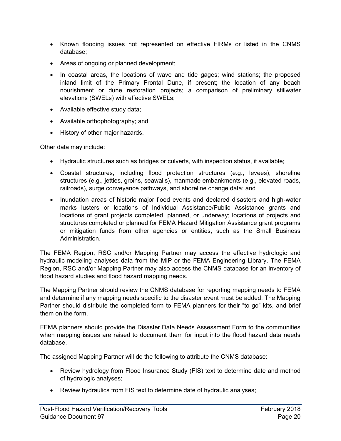- Known flooding issues not represented on effective FIRMs or listed in the CNMS database;
- Areas of ongoing or planned development;
- In coastal areas, the locations of wave and tide gages; wind stations; the proposed inland limit of the Primary Frontal Dune, if present; the location of any beach nourishment or dune restoration projects; a comparison of preliminary stillwater elevations (SWELs) with effective SWELs;
- Available effective study data;
- Available orthophotography; and
- History of other major hazards.

Other data may include:

- Hydraulic structures such as bridges or culverts, with inspection status, if available;
- Coastal structures, including flood protection structures (e.g., levees), shoreline structures (e.g., jetties, groins, seawalls), manmade embankments (e.g., elevated roads, railroads), surge conveyance pathways, and shoreline change data; and
- Inundation areas of historic major flood events and declared disasters and high-water marks lusters or locations of Individual Assistance/Public Assistance grants and locations of grant projects completed, planned, or underway; locations of projects and structures completed or planned for FEMA Hazard Mitigation Assistance grant programs or mitigation funds from other agencies or entities, such as the Small Business Administration.

The FEMA Region, RSC and/or Mapping Partner may access the effective hydrologic and hydraulic modeling analyses data from the MIP or the FEMA Engineering Library. The FEMA Region, RSC and/or Mapping Partner may also access the CNMS database for an inventory of flood hazard studies and flood hazard mapping needs.

The Mapping Partner should review the CNMS database for reporting mapping needs to FEMA and determine if any mapping needs specific to the disaster event must be added. The Mapping Partner should distribute the completed form to FEMA planners for their "to go" kits, and brief them on the form.

FEMA planners should provide the Disaster Data Needs Assessment Form to the communities when mapping issues are raised to document them for input into the flood hazard data needs database.

The assigned Mapping Partner will do the following to attribute the CNMS database:

- Review hydrology from Flood Insurance Study (FIS) text to determine date and method of hydrologic analyses;
- Review hydraulics from FIS text to determine date of hydraulic analyses;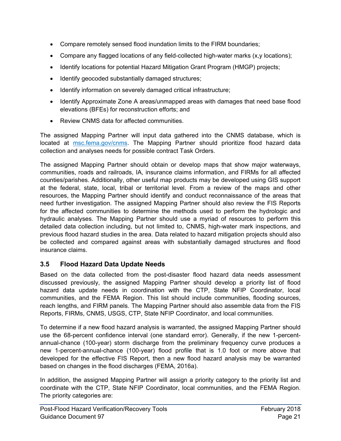- Compare remotely sensed flood inundation limits to the FIRM boundaries;
- Compare any flagged locations of any field-collected high-water marks  $(x, y)$  locations);
- Identify locations for potential Hazard Mitigation Grant Program (HMGP) projects;
- Identify geocoded substantially damaged structures;
- Identify information on severely damaged critical infrastructure;
- Identify Approximate Zone A areas/unmapped areas with damages that need base flood elevations (BFEs) for reconstruction efforts; and
- Review CNMS data for affected communities

The assigned Mapping Partner will input data gathered into the CNMS database, which is located at [msc.fema.gov/cnms.](https://msc.fema.gov/cnms/) The Mapping Partner should prioritize flood hazard data collection and analyses needs for possible contract Task Orders.

The assigned Mapping Partner should obtain or develop maps that show major waterways, communities, roads and railroads, IA, insurance claims information, and FIRMs for all affected counties/parishes. Additionally, other useful map products may be developed using GIS support at the federal, state, local, tribal or territorial level. From a review of the maps and other resources, the Mapping Partner should identify and conduct reconnaissance of the areas that need further investigation. The assigned Mapping Partner should also review the FIS Reports for the affected communities to determine the methods used to perform the hydrologic and hydraulic analyses. The Mapping Partner should use a myriad of resources to perform this detailed data collection including, but not limited to, CNMS, high-water mark inspections, and previous flood hazard studies in the area. Data related to hazard mitigation projects should also be collected and compared against areas with substantially damaged structures and flood insurance claims.

#### <span id="page-24-0"></span>**3.5 Flood Hazard Data Update Needs**

Based on the data collected from the post-disaster flood hazard data needs assessment discussed previously, the assigned Mapping Partner should develop a priority list of flood hazard data update needs in coordination with the CTP, State NFIP Coordinator, local communities, and the FEMA Region. This list should include communities, flooding sources, reach lengths, and FIRM panels. The Mapping Partner should also assemble data from the FIS Reports, FIRMs, CNMS, USGS, CTP, State NFIP Coordinator, and local communities.

To determine if a new flood hazard analysis is warranted, the assigned Mapping Partner should use the 68-percent confidence interval (one standard error). Generally, if the new 1-percentannual-chance (100-year) storm discharge from the preliminary frequency curve produces a new 1-percent-annual-chance (100-year) flood profile that is 1.0 foot or more above that developed for the effective FIS Report, then a new flood hazard analysis may be warranted based on changes in the flood discharges (FEMA, 2016a).

In addition, the assigned Mapping Partner will assign a priority category to the priority list and coordinate with the CTP, State NFIP Coordinator, local communities, and the FEMA Region. The priority categories are: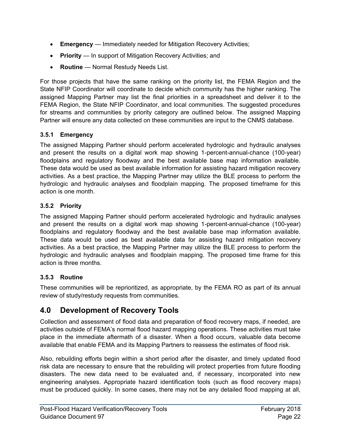- **Emergency** Immediately needed for Mitigation Recovery Activities;
- **Priority** In support of Mitigation Recovery Activities; and
- **Routine** Normal Restudy Needs List.

For those projects that have the same ranking on the priority list, the FEMA Region and the State NFIP Coordinator will coordinate to decide which community has the higher ranking. The assigned Mapping Partner may list the final priorities in a spreadsheet and deliver it to the FEMA Region, the State NFIP Coordinator, and local communities. The suggested procedures for streams and communities by priority category are outlined below. The assigned Mapping Partner will ensure any data collected on these communities are input to the CNMS database.

#### **3.5.1 Emergency**

The assigned Mapping Partner should perform accelerated hydrologic and hydraulic analyses and present the results on a digital work map showing 1-percent-annual-chance (100-year) floodplains and regulatory floodway and the best available base map information available. These data would be used as best available information for assisting hazard mitigation recovery activities. As a best practice, the Mapping Partner may utilize the BLE process to perform the hydrologic and hydraulic analyses and floodplain mapping. The proposed timeframe for this action is one month.

#### **3.5.2 Priority**

The assigned Mapping Partner should perform accelerated hydrologic and hydraulic analyses and present the results on a digital work map showing 1-percent-annual-chance (100-year) floodplains and regulatory floodway and the best available base map information available. These data would be used as best available data for assisting hazard mitigation recovery activities. As a best practice, the Mapping Partner may utilize the BLE process to perform the hydrologic and hydraulic analyses and floodplain mapping. The proposed time frame for this action is three months.

#### **3.5.3 Routine**

These communities will be reprioritized, as appropriate, by the FEMA RO as part of its annual review of study/restudy requests from communities.

#### <span id="page-25-0"></span>**4.0 Development of Recovery Tools**

Collection and assessment of flood data and preparation of flood recovery maps, if needed, are activities outside of FEMA's normal flood hazard mapping operations. These activities must take place in the immediate aftermath of a disaster. When a flood occurs, valuable data become available that enable FEMA and its Mapping Partners to reassess the estimates of flood risk.

Also, rebuilding efforts begin within a short period after the disaster, and timely updated flood risk data are necessary to ensure that the rebuilding will protect properties from future flooding disasters. The new data need to be evaluated and, if necessary, incorporated into new engineering analyses. Appropriate hazard identification tools (such as flood recovery maps) must be produced quickly. In some cases, there may not be any detailed flood mapping at all,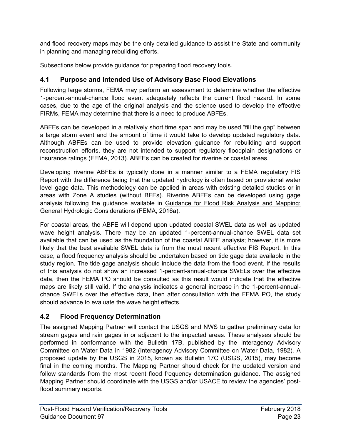and flood recovery maps may be the only detailed guidance to assist the State and community in planning and managing rebuilding efforts.

Subsections below provide guidance for preparing flood recovery tools.

#### <span id="page-26-0"></span>**4.1 Purpose and Intended Use of Advisory Base Flood Elevations**

Following large storms, FEMA may perform an assessment to determine whether the effective 1-percent-annual-chance flood event adequately reflects the current flood hazard. In some cases, due to the age of the original analysis and the science used to develop the effective FIRMs, FEMA may determine that there is a need to produce ABFEs.

ABFEs can be developed in a relatively short time span and may be used "fill the gap" between a large storm event and the amount of time it would take to develop updated regulatory data. Although ABFEs can be used to provide elevation guidance for rebuilding and support reconstruction efforts, they are not intended to support regulatory floodplain designations or insurance ratings (FEMA, 2013). ABFEs can be created for riverine or coastal areas.

Developing riverine ABFEs is typically done in a manner similar to a FEMA regulatory FIS Report with the difference being that the updated hydrology is often based on provisional water level gage data. This methodology can be applied in areas with existing detailed studies or in areas with Zone A studies (without BFEs). Riverine ABFEs can be developed using gage analysis following the guidance available in Guidance for Flood Risk Analysis and Mapping: General Hydrologic Considerations (FEMA, 2016a).

For coastal areas, the ABFE will depend upon updated coastal SWEL data as well as updated wave height analysis. There may be an updated 1-percent-annual-chance SWEL data set available that can be used as the foundation of the coastal ABFE analysis; however, it is more likely that the best available SWEL data is from the most recent effective FIS Report. In this case, a flood frequency analysis should be undertaken based on tide gage data available in the study region. The tide gage analysis should include the data from the flood event. If the results of this analysis do not show an increased 1-percent-annual-chance SWELs over the effective data, then the FEMA PO should be consulted as this result would indicate that the effective maps are likely still valid. If the analysis indicates a general increase in the 1-percent-annualchance SWELs over the effective data, then after consultation with the FEMA PO, the study should advance to evaluate the wave height effects.

#### <span id="page-26-1"></span>**4.2 Flood Frequency Determination**

The assigned Mapping Partner will contact the USGS and NWS to gather preliminary data for stream gages and rain gages in or adjacent to the impacted areas. These analyses should be performed in conformance with the Bulletin 17B, published by the Interagency Advisory Committee on Water Data in 1982 (Interagency Advisory Committee on Water Data, 1982). A proposed update by the USGS in 2015, known as Bulletin 17C (USGS, 2015), may become final in the coming months. The Mapping Partner should check for the updated version and follow standards from the most recent flood frequency determination guidance. The assigned Mapping Partner should coordinate with the USGS and/or USACE to review the agencies' postflood summary reports.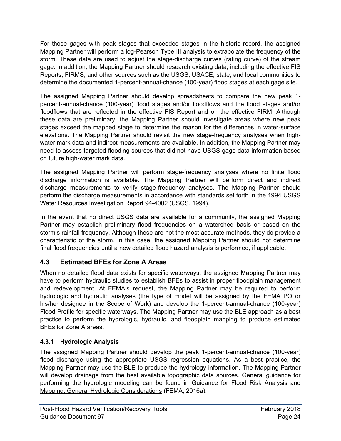For those gages with peak stages that exceeded stages in the historic record, the assigned Mapping Partner will perform a log-Pearson Type III analysis to extrapolate the frequency of the storm. These data are used to adjust the stage-discharge curves (rating curve) of the stream gage. In addition, the Mapping Partner should research existing data, including the effective FIS Reports, FIRMS, and other sources such as the USGS, USACE, state, and local communities to determine the documented 1-percent-annual-chance (100-year) flood stages at each gage site.

The assigned Mapping Partner should develop spreadsheets to compare the new peak 1 percent-annual-chance (100-year) flood stages and/or floodflows and the flood stages and/or floodflows that are reflected in the effective FIS Report and on the effective FIRM. Although these data are preliminary, the Mapping Partner should investigate areas where new peak stages exceed the mapped stage to determine the reason for the differences in water-surface elevations. The Mapping Partner should revisit the new stage-frequency analyses when highwater mark data and indirect measurements are available. In addition, the Mapping Partner may need to assess targeted flooding sources that did not have USGS gage data information based on future high-water mark data.

The assigned Mapping Partner will perform stage-frequency analyses where no finite flood discharge information is available. The Mapping Partner will perform direct and indirect discharge measurements to verify stage-frequency analyses. The Mapping Partner should perform the discharge measurements in accordance with standards set forth in the 1994 USGS Water Resources Investigation Report 94-4002 (USGS, 1994).

In the event that no direct USGS data are available for a community, the assigned Mapping Partner may establish preliminary flood frequencies on a watershed basis or based on the storm's rainfall frequency. Although these are not the most accurate methods, they do provide a characteristic of the storm. In this case, the assigned Mapping Partner should not determine final flood frequencies until a new detailed flood hazard analysis is performed, if applicable.

#### <span id="page-27-0"></span>**4.3 Estimated BFEs for Zone A Areas**

When no detailed flood data exists for specific waterways, the assigned Mapping Partner may have to perform hydraulic studies to establish BFEs to assist in proper floodplain management and redevelopment. At FEMA's request, the Mapping Partner may be required to perform hydrologic and hydraulic analyses (the type of model will be assigned by the FEMA PO or his/her designee in the Scope of Work) and develop the 1-percent-annual-chance (100-year) Flood Profile for specific waterways. The Mapping Partner may use the BLE approach as a best practice to perform the hydrologic, hydraulic, and floodplain mapping to produce estimated BFEs for Zone A areas.

#### **4.3.1 Hydrologic Analysis**

The assigned Mapping Partner should develop the peak 1-percent-annual-chance (100-year) flood discharge using the appropriate USGS regression equations. As a best practice, the Mapping Partner may use the BLE to produce the hydrology information. The Mapping Partner will develop drainage from the best available topographic data sources. General guidance for performing the hydrologic modeling can be found in Guidance for Flood Risk Analysis and Mapping: General Hydrologic Considerations (FEMA, 2016a).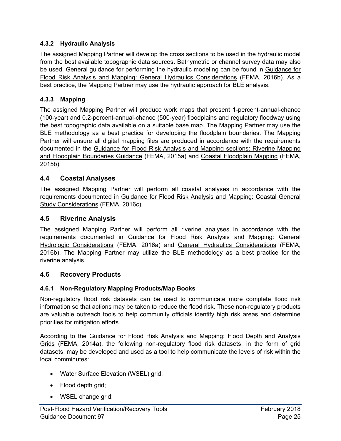#### **4.3.2 Hydraulic Analysis**

The assigned Mapping Partner will develop the cross sections to be used in the hydraulic model from the best available topographic data sources. Bathymetric or channel survey data may also be used. General guidance for performing the hydraulic modeling can be found in Guidance for Flood Risk Analysis and Mapping: General Hydraulics Considerations (FEMA, 2016b). As a best practice, the Mapping Partner may use the hydraulic approach for BLE analysis.

#### **4.3.3 Mapping**

The assigned Mapping Partner will produce work maps that present 1-percent-annual-chance (100-year) and 0.2-percent-annual-chance (500-year) floodplains and regulatory floodway using the best topographic data available on a suitable base map. The Mapping Partner may use the BLE methodology as a best practice for developing the floodplain boundaries. The Mapping Partner will ensure all digital mapping files are produced in accordance with the requirements documented in the Guidance for Flood Risk Analysis and Mapping sections: Riverine Mapping and Floodplain Boundaries Guidance (FEMA, 2015a) and Coastal Floodplain Mapping (FEMA, 2015b).

#### <span id="page-28-0"></span>**4.4 Coastal Analyses**

The assigned Mapping Partner will perform all coastal analyses in accordance with the requirements documented in Guidance for Flood Risk Analysis and Mapping: Coastal General Study Considerations (FEMA, 2016c).

#### <span id="page-28-1"></span>**4.5 Riverine Analysis**

The assigned Mapping Partner will perform all riverine analyses in accordance with the requirements documented in Guidance for Flood Risk Analysis and Mapping: General Hydrologic Considerations (FEMA, 2016a) and General Hydraulics Considerations (FEMA, 2016b). The Mapping Partner may utilize the BLE methodology as a best practice for the riverine analysis.

#### <span id="page-28-2"></span>**4.6 Recovery Products**

#### **4.6.1 Non-Regulatory Mapping Products/Map Books**

Non-regulatory flood risk datasets can be used to communicate more complete flood risk information so that actions may be taken to reduce the flood risk. These non-regulatory products are valuable outreach tools to help community officials identify high risk areas and determine priorities for mitigation efforts.

According to the Guidance for Flood Risk Analysis and Mapping: Flood Depth and Analysis Grids (FEMA, 2014a), the following non-regulatory flood risk datasets, in the form of grid datasets, may be developed and used as a tool to help communicate the levels of risk within the local comminutes:

- Water Surface Elevation (WSEL) grid;
- Flood depth grid;
- WSEL change grid;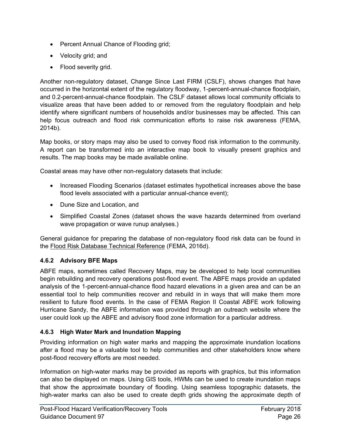- Percent Annual Chance of Flooding grid;
- Velocity grid; and
- Flood severity grid.

Another non-regulatory dataset, Change Since Last FIRM (CSLF), shows changes that have occurred in the horizontal extent of the regulatory floodway, 1-percent-annual-chance floodplain, and 0.2-percent-annual-chance floodplain. The CSLF dataset allows local community officials to visualize areas that have been added to or removed from the regulatory floodplain and help identify where significant numbers of households and/or businesses may be affected. This can help focus outreach and flood risk communication efforts to raise risk awareness (FEMA, 2014b).

Map books, or story maps may also be used to convey flood risk information to the community. A report can be transformed into an interactive map book to visually present graphics and results. The map books may be made available online.

Coastal areas may have other non-regulatory datasets that include:

- Increased Flooding Scenarios (dataset estimates hypothetical increases above the base flood levels associated with a particular annual-chance event);
- Dune Size and Location, and
- Simplified Coastal Zones (dataset shows the wave hazards determined from overland wave propagation or wave runup analyses.)

General guidance for preparing the database of non-regulatory flood risk data can be found in the Flood Risk Database Technical Reference (FEMA, 2016d).

#### **4.6.2 Advisory BFE Maps**

ABFE maps, sometimes called Recovery Maps, may be developed to help local communities begin rebuilding and recovery operations post-flood event. The ABFE maps provide an updated analysis of the 1-percent-annual-chance flood hazard elevations in a given area and can be an essential tool to help communities recover and rebuild in in ways that will make them more resilient to future flood events. In the case of FEMA Region II Coastal ABFE work following Hurricane Sandy, the ABFE information was provided through an outreach website where the user could look up the ABFE and advisory flood zone information for a particular address.

#### **4.6.3 High Water Mark and Inundation Mapping**

Providing information on high water marks and mapping the approximate inundation locations after a flood may be a valuable tool to help communities and other stakeholders know where post-flood recovery efforts are most needed.

Information on high-water marks may be provided as reports with graphics, but this information can also be displayed on maps. Using GIS tools, HWMs can be used to create inundation maps that show the approximate boundary of flooding. Using seamless topographic datasets, the high-water marks can also be used to create depth grids showing the approximate depth of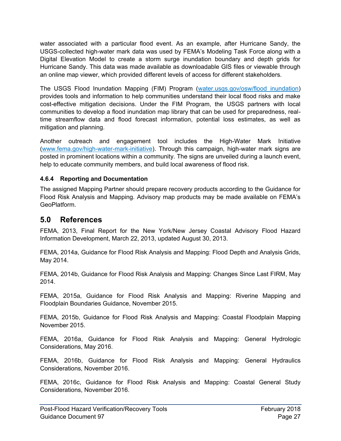water associated with a particular flood event. As an example, after Hurricane Sandy, the USGS-collected high-water mark data was used by FEMA's Modeling Task Force along with a Digital Elevation Model to create a storm surge inundation boundary and depth grids for Hurricane Sandy. This data was made available as downloadable GIS files or viewable through an online map viewer, which provided different levels of access for different stakeholders.

The USGS Flood Inundation Mapping (FIM) Program (water.usgs.gov/osw/flood inundation) provides tools and information to help communities understand their local flood risks and make cost-effective mitigation decisions. Under the FIM Program, the USGS partners with local communities to develop a flood inundation map library that can be used for preparedness, realtime streamflow data and flood forecast information, potential loss estimates, as well as mitigation and planning.

Another outreach and engagement tool includes the High-Water Mark Initiative [\(www.fema.gov/high-water-mark-initiative\)](https://www.fema.gov/high-water-mark-initiative). Through this campaign, high-water mark signs are posted in prominent locations within a community. The signs are unveiled during a launch event, help to educate community members, and build local awareness of flood risk.

#### **4.6.4 Reporting and Documentation**

The assigned Mapping Partner should prepare recovery products according to the Guidance for Flood Risk Analysis and Mapping. Advisory map products may be made available on FEMA's **GeoPlatform** 

#### <span id="page-30-0"></span>**5.0 References**

FEMA, 2013, Final Report for the New York/New Jersey Coastal Advisory Flood Hazard Information Development, March 22, 2013, updated August 30, 2013.

FEMA, 2014a, Guidance for Flood Risk Analysis and Mapping: Flood Depth and Analysis Grids, May 2014.

FEMA, 2014b, Guidance for Flood Risk Analysis and Mapping: Changes Since Last FIRM, May 2014.

FEMA, 2015a, Guidance for Flood Risk Analysis and Mapping: Riverine Mapping and Floodplain Boundaries Guidance, November 2015.

FEMA, 2015b, Guidance for Flood Risk Analysis and Mapping: Coastal Floodplain Mapping November 2015.

FEMA, 2016a, Guidance for Flood Risk Analysis and Mapping: General Hydrologic Considerations, May 2016.

FEMA, 2016b, Guidance for Flood Risk Analysis and Mapping: General Hydraulics Considerations, November 2016.

FEMA, 2016c, Guidance for Flood Risk Analysis and Mapping: Coastal General Study Considerations, November 2016.